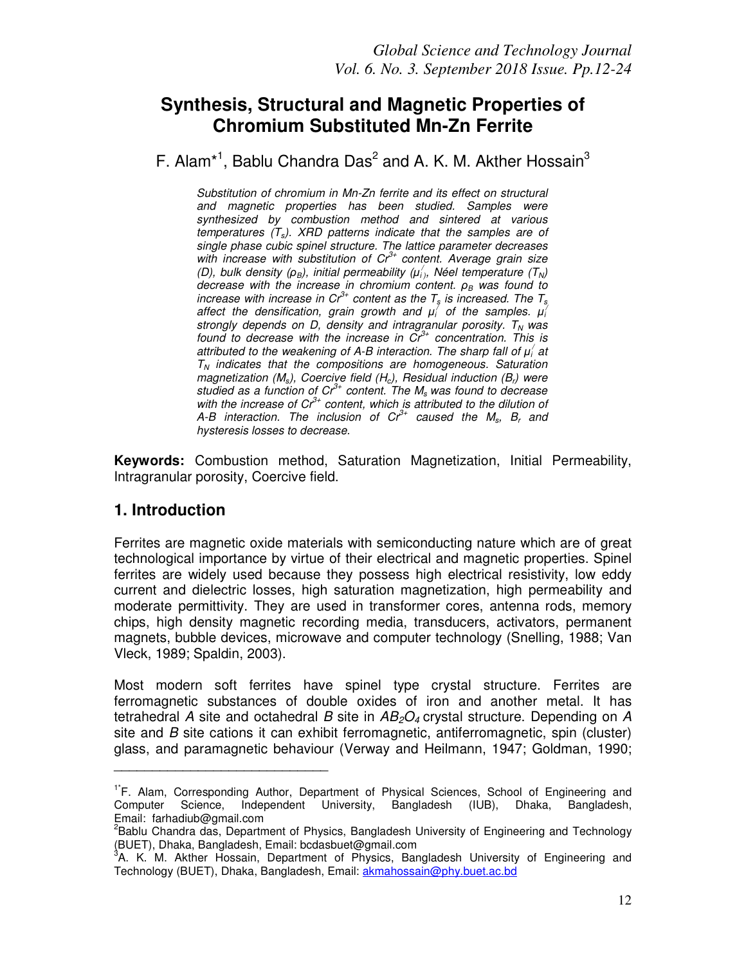# **Synthesis, Structural and Magnetic Properties of Chromium Substituted Mn-Zn Ferrite**

F. Alam<sup>\*1</sup>, Bablu Chandra Das<sup>2</sup> and A. K. M. Akther Hossain<sup>3</sup>

Substitution of chromium in Mn-Zn ferrite and its effect on structural and magnetic properties has been studied. Samples were synthesized by combustion method and sintered at various temperatures  $(T_s)$ . XRD patterns indicate that the samples are of single phase cubic spinel structure. The lattice parameter decreases with increase with substitution of  $Cr^{3+}$  content. Average grain size (D), bulk density ( $\rho_B$ ), initial permeability ( $\mu'_i$ ), Néel temperature ( $T_N$ ) decrease with the increase in chromium content.  $ρ<sub>B</sub>$  was found to increase with increase in  $Cr^{3+}$  content as the  $T_s$  is increased. The  $T_s$ affect the densification, grain growth and  $\mu_i^j$  of the samples.  $\mu_i^j$ strongly depends on D, density and intragranular porosity.  $T_N$  was found to decrease with the increase in  $\tilde{Cr}^{3+}$  concentration. This is attributed to the weakening of A-B interaction. The sharp fall of  $\mu_i'$  at  $T_N$  indicates that the compositions are homogeneous. Saturation magnetization ( $M_s$ ), Coercive field ( $H_c$ ), Residual induction ( $B_r$ ) were studied as a function of  $Cr^{3+}$  content. The  $M_s$  was found to decrease with the increase of  $Cr^{3+}$  content, which is attributed to the dilution of A-B interaction. The inclusion of  $Cr^{3+}$  caused the  $M_s$ ,  $B_r$  and hysteresis losses to decrease.

**Keywords:** Combustion method, Saturation Magnetization, Initial Permeability, Intragranular porosity, Coercive field.

## **1. Introduction**

\_\_\_\_\_\_\_\_\_\_\_\_\_\_\_\_\_\_\_\_\_\_\_\_\_\_\_\_

Ferrites are magnetic oxide materials with semiconducting nature which are of great technological importance by virtue of their electrical and magnetic properties. Spinel ferrites are widely used because they possess high electrical resistivity, low eddy current and dielectric losses, high saturation magnetization, high permeability and moderate permittivity. They are used in transformer cores, antenna rods, memory chips, high density magnetic recording media, transducers, activators, permanent magnets, bubble devices, microwave and computer technology (Snelling, 1988; Van Vleck, 1989; Spaldin, 2003).

Most modern soft ferrites have spinel type crystal structure. Ferrites are ferromagnetic substances of double oxides of iron and another metal. It has tetrahedral A site and octahedral B site in  $AB_2O_4$  crystal structure. Depending on A site and B site cations it can exhibit ferromagnetic, antiferromagnetic, spin (cluster) glass, and paramagnetic behaviour (Verway and Heilmann, 1947; Goldman, 1990;

<sup>&</sup>lt;sup>1\*</sup>F. Alam, Corresponding Author, Department of Physical Sciences, School of Engineering and<br>Computer Science, Independent University, Bangladesh (IUB), Dhaka. Bangladesh. Science, Independent University, Bangladesh (IUB), Dhaka, Bangladesh, Email: farhadiub@gmail.com

<sup>&</sup>lt;sup>2</sup> Bablu Chandra das, Department of Physics, Bangladesh University of Engineering and Technology (BUET), Dhaka, Bangladesh, Email: bcdasbuet@gmail.com

<sup>&</sup>lt;sup>3</sup>A. K. M. Akther Hossain, Department of Physics, Bangladesh University of Engineering and Technology (BUET), Dhaka, Bangladesh, Email: akmahossain@phy.buet.ac.bd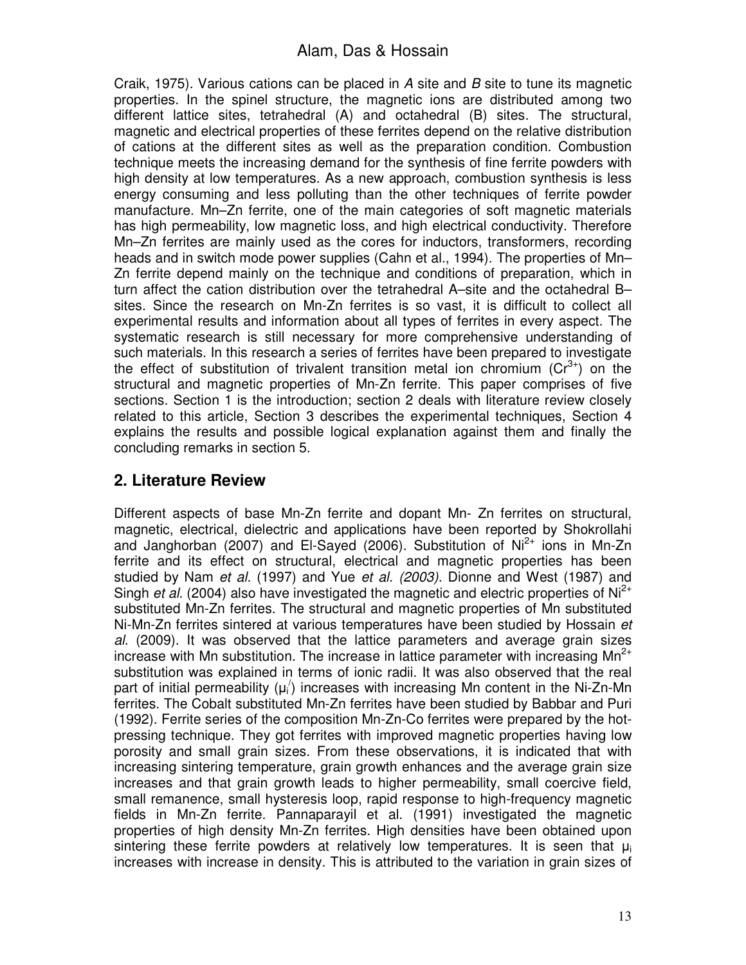Craik, 1975). Various cations can be placed in A site and B site to tune its magnetic properties. In the spinel structure, the magnetic ions are distributed among two different lattice sites, tetrahedral (A) and octahedral (B) sites. The structural, magnetic and electrical properties of these ferrites depend on the relative distribution of cations at the different sites as well as the preparation condition. Combustion technique meets the increasing demand for the synthesis of fine ferrite powders with high density at low temperatures. As a new approach, combustion synthesis is less energy consuming and less polluting than the other techniques of ferrite powder manufacture. Mn–Zn ferrite, one of the main categories of soft magnetic materials has high permeability, low magnetic loss, and high electrical conductivity. Therefore Mn–Zn ferrites are mainly used as the cores for inductors, transformers, recording heads and in switch mode power supplies (Cahn et al., 1994). The properties of Mn-Zn ferrite depend mainly on the technique and conditions of preparation, which in turn affect the cation distribution over the tetrahedral A–site and the octahedral B– sites. Since the research on Mn-Zn ferrites is so vast, it is difficult to collect all experimental results and information about all types of ferrites in every aspect. The systematic research is still necessary for more comprehensive understanding of such materials. In this research a series of ferrites have been prepared to investigate the effect of substitution of trivalent transition metal ion chromium  $(Cr^{3+})$  on the structural and magnetic properties of Mn-Zn ferrite. This paper comprises of five sections. Section 1 is the introduction; section 2 deals with literature review closely related to this article, Section 3 describes the experimental techniques, Section 4 explains the results and possible logical explanation against them and finally the concluding remarks in section 5.

# **2. Literature Review**

Different aspects of base Mn-Zn ferrite and dopant Mn- Zn ferrites on structural, magnetic, electrical, dielectric and applications have been reported by Shokrollahi and Janghorban (2007) and El-Sayed (2006). Substitution of  $Ni<sup>2+</sup>$  ions in Mn-Zn ferrite and its effect on structural, electrical and magnetic properties has been studied by Nam et al. (1997) and Yue et al. (2003). Dionne and West (1987) and Singh *et al.* (2004) also have investigated the magnetic and electric properties of  $Ni<sup>2+</sup>$ substituted Mn-Zn ferrites. The structural and magnetic properties of Mn substituted Ni-Mn-Zn ferrites sintered at various temperatures have been studied by Hossain et al. (2009). It was observed that the lattice parameters and average grain sizes increase with Mn substitution. The increase in lattice parameter with increasing  $Mn^{2+}$ substitution was explained in terms of ionic radii. It was also observed that the real part of initial permeability  $(\mu_i)$  increases with increasing Mn content in the Ni-Zn-Mn ferrites. The Cobalt substituted Mn-Zn ferrites have been studied by Babbar and Puri (1992). Ferrite series of the composition Mn-Zn-Co ferrites were prepared by the hotpressing technique. They got ferrites with improved magnetic properties having low porosity and small grain sizes. From these observations, it is indicated that with increasing sintering temperature, grain growth enhances and the average grain size increases and that grain growth leads to higher permeability, small coercive field, small remanence, small hysteresis loop, rapid response to high-frequency magnetic fields in Mn-Zn ferrite. Pannaparayil et al. (1991) investigated the magnetic properties of high density Mn-Zn ferrites. High densities have been obtained upon sintering these ferrite powders at relatively low temperatures. It is seen that  $\mu_i$ increases with increase in density. This is attributed to the variation in grain sizes of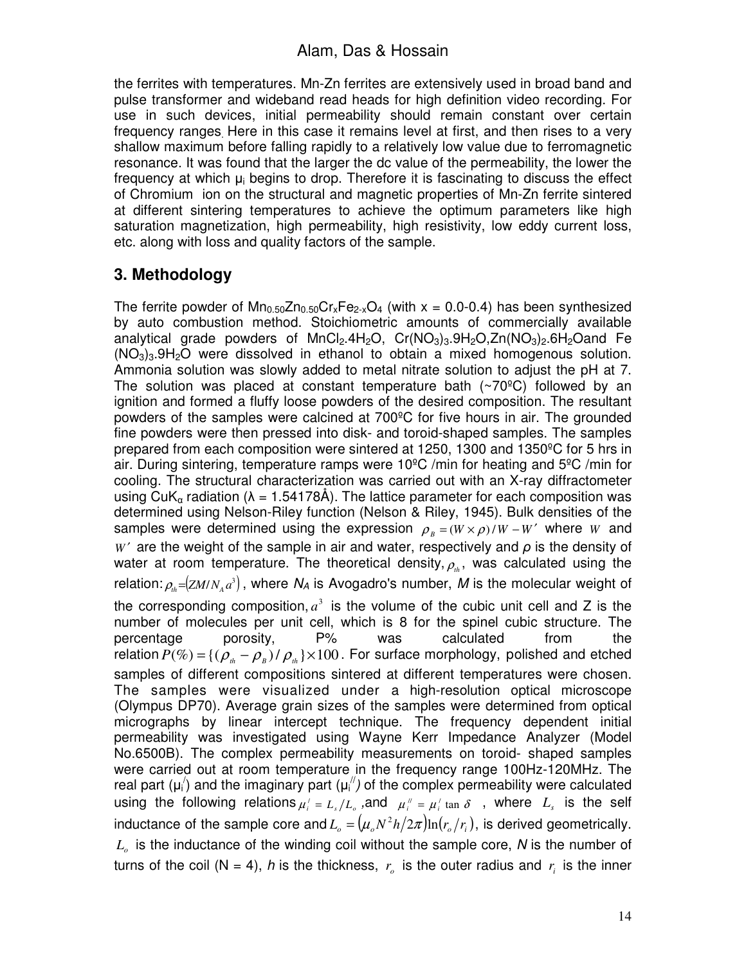the ferrites with temperatures. Mn-Zn ferrites are extensively used in broad band and pulse transformer and wideband read heads for high definition video recording. For use in such devices, initial permeability should remain constant over certain frequency ranges. Here in this case it remains level at first, and then rises to a very shallow maximum before falling rapidly to a relatively low value due to ferromagnetic resonance. It was found that the larger the dc value of the permeability, the lower the frequency at which  $\mu_i$  begins to drop. Therefore it is fascinating to discuss the effect of Chromium ion on the structural and magnetic properties of Mn-Zn ferrite sintered at different sintering temperatures to achieve the optimum parameters like high saturation magnetization, high permeability, high resistivity, low eddy current loss, etc. along with loss and quality factors of the sample.

# **3. Methodology**

The ferrite powder of  $Mn_{0.50}Zn_{0.50}Cr_xFe_{2-x}O_4$  (with  $x = 0.0-0.4$ ) has been synthesized by auto combustion method. Stoichiometric amounts of commercially available analytical grade powders of  $MnCl<sub>2</sub>$ .4H<sub>2</sub>O,  $Cr(NO<sub>3</sub>)<sub>3</sub>$ .9H<sub>2</sub>O,Zn(NO<sub>3</sub>)<sub>2</sub>.6H<sub>2</sub>Oand Fe  $(NO<sub>3</sub>)<sub>3</sub>$ .9H<sub>2</sub>O were dissolved in ethanol to obtain a mixed homogenous solution. Ammonia solution was slowly added to metal nitrate solution to adjust the pH at 7. The solution was placed at constant temperature bath  $(\sim 70^{\circ}C)$  followed by an ignition and formed a fluffy loose powders of the desired composition. The resultant powders of the samples were calcined at 700ºC for five hours in air. The grounded fine powders were then pressed into disk- and toroid-shaped samples. The samples prepared from each composition were sintered at 1250, 1300 and 1350ºC for 5 hrs in air. During sintering, temperature ramps were 10ºC /min for heating and 5ºC /min for cooling. The structural characterization was carried out with an X-ray diffractometer using CuK<sub>α</sub> radiation ( $\lambda = 1.54178\text{\AA}$ ). The lattice parameter for each composition was determined using Nelson-Riley function (Nelson & Riley, 1945). Bulk densities of the samples were determined using the expression  $\rho_B = (W \times \rho)/W - W'$  where *W* and *W* ′ are the weight of the sample in air and water, respectively and *ρ* is the density of water at room temperature. The theoretical density,  $\rho_{th}$ , was calculated using the relation:  $\rho_{_{th}}$ =(zM/ $N_{_{A}}$ a<sup>3</sup>), where  $N_{A}$  is Avogadro's number, M is the molecular weight of the corresponding composition,  $a^3$  is the volume of the cubic unit cell and Z is the number of molecules per unit cell, which is 8 for the spinel cubic structure. The percentage porosity, P% was calculated from the relation  $P(\%)=\{(\rho_{th}-\rho_{B})/\rho_{th}\}\times 100$ . For surface morphology, polished and etched samples of different compositions sintered at different temperatures were chosen. The samples were visualized under a high-resolution optical microscope (Olympus DP70). Average grain sizes of the samples were determined from optical micrographs by linear intercept technique. The frequency dependent initial permeability was investigated using Wayne Kerr Impedance Analyzer (Model No.6500B). The complex permeability measurements on toroid- shaped samples were carried out at room temperature in the frequency range 100Hz-120MHz. The real part ( $\mu_i$ ) and the imaginary part ( $\mu_i$ <sup>"</sup>) of the complex permeability were calculated using the following relations  $\mu_i' = L_s/L_o$  , and  $\mu_i'' = \mu_i'$  tan  $\delta$ , where  $L_s$  is the self inductance of the sample core and  $L_o = (\mu_o N^2 h / 2 \pi) {\rm ln}(r_o / r_i)$ , is derived geometrically. *Lo* is the inductance of the winding coil without the sample core, N is the number of turns of the coil (N = 4), h is the thickness,  $r<sub>o</sub>$  is the outer radius and  $r<sub>i</sub>$  is the inner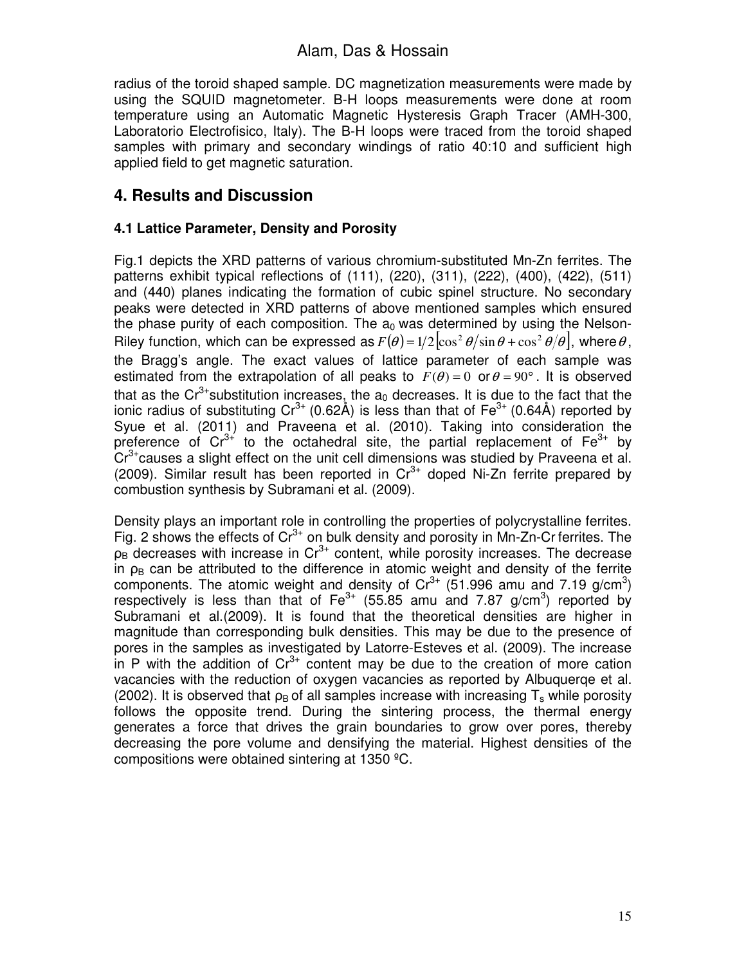radius of the toroid shaped sample. DC magnetization measurements were made by using the SQUID magnetometer. B-H loops measurements were done at room temperature using an Automatic Magnetic Hysteresis Graph Tracer (AMH-300, Laboratorio Electrofisico, Italy). The B-H loops were traced from the toroid shaped samples with primary and secondary windings of ratio 40:10 and sufficient high applied field to get magnetic saturation.

## **4. Results and Discussion**

#### **4.1 Lattice Parameter, Density and Porosity**

Fig.1 depicts the XRD patterns of various chromium-substituted Mn-Zn ferrites. The patterns exhibit typical reflections of (111), (220), (311), (222), (400), (422), (511) and (440) planes indicating the formation of cubic spinel structure. No secondary peaks were detected in XRD patterns of above mentioned samples which ensured the phase purity of each composition. The  $a_0$  was determined by using the Nelson-Riley function, which can be expressed as  $F(\theta) = 1/2 \left| \cos^2 \theta / \sin \theta + \cos^2 \theta / \theta \right|$ , where  $\theta$ , the Bragg's angle. The exact values of lattice parameter of each sample was estimated from the extrapolation of all peaks to  $F(\theta) = 0$  or  $\theta = 90^{\circ}$ . It is observed that as the  $Cr^{3+}$ substitution increases, the  $a_0$  decreases. It is due to the fact that the ionic radius of substituting  $Cr^{3+}$  (0.62Å) is less than that of Fe<sup>3+</sup> (0.64Å) reported by Syue et al. (2011) and Praveena et al. (2010). Taking into consideration the preference of  $Cr^{3+}$  to the octahedral site, the partial replacement of  $Fe^{3+}$  by  $Cr^{3+}$ causes a slight effect on the unit cell dimensions was studied by Praveena et al. (2009). Similar result has been reported in  $Cr^{3+}$  doped Ni-Zn ferrite prepared by combustion synthesis by Subramani et al. (2009).

Density plays an important role in controlling the properties of polycrystalline ferrites. Fig. 2 shows the effects of  $Cr^{3+}$  on bulk density and porosity in Mn-Zn-Cr ferrites. The  $p_B$  decreases with increase in Cr<sup>3+</sup> content, while porosity increases. The decrease in  $\rho_B$  can be attributed to the difference in atomic weight and density of the ferrite components. The atomic weight and density of  $Cr^{3+}$  (51.996 amu and 7.19 g/cm<sup>3</sup>) respectively is less than that of  $Fe^{3+}$  (55.85 amu and 7.87 g/cm<sup>3</sup>) reported by Subramani et al.(2009). It is found that the theoretical densities are higher in magnitude than corresponding bulk densities. This may be due to the presence of pores in the samples as investigated by Latorre-Esteves et al. (2009). The increase in P with the addition of  $Cr^{3+}$  content may be due to the creation of more cation vacancies with the reduction of oxygen vacancies as reported by Albuquerqe et al. (2002). It is observed that  $\rho_B$  of all samples increase with increasing T<sub>s</sub> while porosity follows the opposite trend. During the sintering process, the thermal energy generates a force that drives the grain boundaries to grow over pores, thereby decreasing the pore volume and densifying the material. Highest densities of the compositions were obtained sintering at 1350 ºC.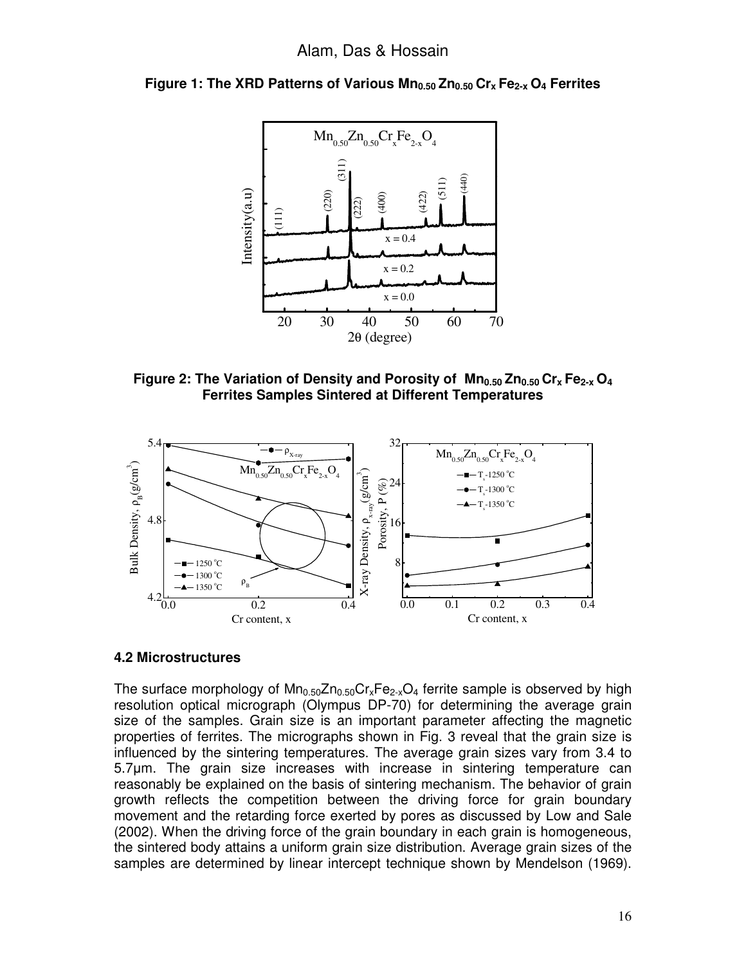

**Figure 1: The XRD Patterns of Various Mn0.50 Zn0.50 Crx Fe2-x O4 Ferrites**

**Figure 2: The Variation of Density and Porosity of Mn0.50 Zn0.50 Crx Fe2-x O<sup>4</sup> Ferrites Samples Sintered at Different Temperatures** 



#### **4.2 Microstructures**

The surface morphology of  $Mn_{0.50}Zn_{0.50}Cr_xFe_{2-x}O_4$  ferrite sample is observed by high resolution optical micrograph (Olympus DP-70) for determining the average grain size of the samples. Grain size is an important parameter affecting the magnetic properties of ferrites. The micrographs shown in Fig. 3 reveal that the grain size is influenced by the sintering temperatures. The average grain sizes vary from 3.4 to 5.7µm. The grain size increases with increase in sintering temperature can reasonably be explained on the basis of sintering mechanism. The behavior of grain growth reflects the competition between the driving force for grain boundary movement and the retarding force exerted by pores as discussed by Low and Sale (2002). When the driving force of the grain boundary in each grain is homogeneous, the sintered body attains a uniform grain size distribution. Average grain sizes of the samples are determined by linear intercept technique shown by Mendelson (1969).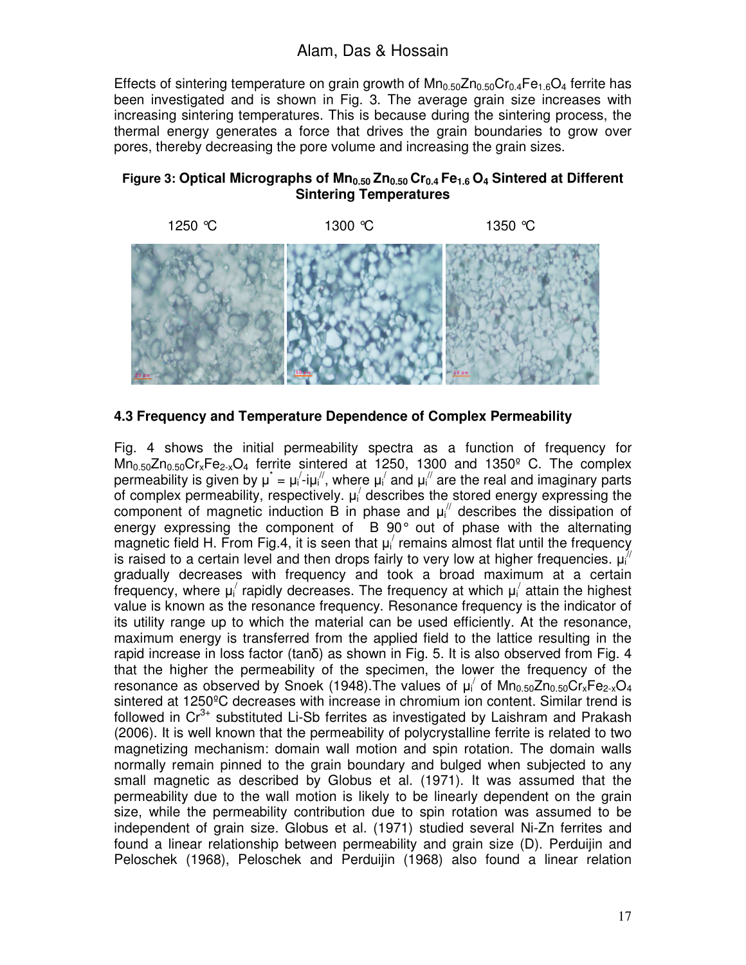Effects of sintering temperature on grain growth of  $Mn_{0.50}Zn_{0.50}Cr_{0.4}Fe_{1.6}O_4$  ferrite has been investigated and is shown in Fig. 3. The average grain size increases with increasing sintering temperatures. This is because during the sintering process, the thermal energy generates a force that drives the grain boundaries to grow over pores, thereby decreasing the pore volume and increasing the grain sizes.





**4.3 Frequency and Temperature Dependence of Complex Permeability** 

Fig. 4 shows the initial permeability spectra as a function of frequency for  $Mn<sub>0.50</sub>Zn<sub>0.50</sub>Cr<sub>x</sub>Fe<sub>2-x</sub>O<sub>4</sub>$  ferrite sintered at 1250, 1300 and 1350<sup>o</sup> C. The complex permeability is given by  $\mu^* = \mu_i' \text{-} i \mu_i''$ , where  $\mu_i'$  and  $\mu_i''$  are the real and imaginary parts of complex permeability, respectively.  $\mu_i$  describes the stored energy expressing the component of magnetic induction B in phase and  $\mu_i$ <sup>"</sup> describes the dissipation of energy expressing the component of B 90° out of phase with the alternating magnetic field H. From Fig.4, it is seen that  $\mu_i$  remains almost flat until the frequency is raised to a certain level and then drops fairly to very low at higher frequencies.  $\mu''_i$ gradually decreases with frequency and took a broad maximum at a certain frequency, where  $\mu_i'$  rapidly decreases. The frequency at which  $\mu_i'$  attain the highest value is known as the resonance frequency. Resonance frequency is the indicator of its utility range up to which the material can be used efficiently. At the resonance, maximum energy is transferred from the applied field to the lattice resulting in the rapid increase in loss factor (tanδ) as shown in Fig. 5. It is also observed from Fig. 4 that the higher the permeability of the specimen, the lower the frequency of the resonance as observed by Snoek (1948). The values of  $\mu'$  of  $Mn_{0.50}Zn_{0.50}Cr_xFe_{2-x}O_4$ sintered at 1250ºC decreases with increase in chromium ion content. Similar trend is followed in  $Cr^{3+}$  substituted Li-Sb ferrites as investigated by Laishram and Prakash (2006). It is well known that the permeability of polycrystalline ferrite is related to two magnetizing mechanism: domain wall motion and spin rotation. The domain walls normally remain pinned to the grain boundary and bulged when subjected to any small magnetic as described by Globus et al. (1971). It was assumed that the permeability due to the wall motion is likely to be linearly dependent on the grain size, while the permeability contribution due to spin rotation was assumed to be independent of grain size. Globus et al. (1971) studied several Ni-Zn ferrites and found a linear relationship between permeability and grain size (D). Perduijin and Peloschek (1968), Peloschek and Perduijin (1968) also found a linear relation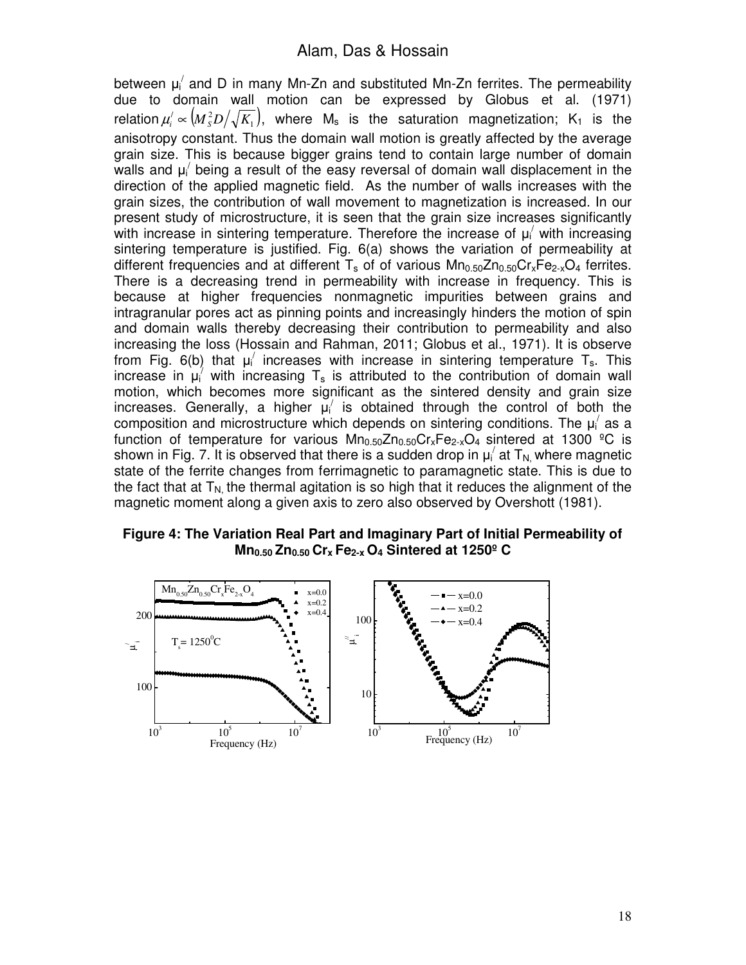between  $\mu_i'$  and D in many Mn-Zn and substituted Mn-Zn ferrites. The permeability due to domain wall motion can be expressed by Globus et al. (1971) relation  $\mu_i' \propto \left( M_s^2 D \middle/ \sqrt{K_1} \right)$ , where  $\mathsf{M}_\mathsf{s}$  is the saturation magnetization; K<sub>1</sub> is the anisotropy constant. Thus the domain wall motion is greatly affected by the average grain size. This is because bigger grains tend to contain large number of domain walls and  $\mu_i'$  being a result of the easy reversal of domain wall displacement in the direction of the applied magnetic field. As the number of walls increases with the grain sizes, the contribution of wall movement to magnetization is increased. In our present study of microstructure, it is seen that the grain size increases significantly with increase in sintering temperature. Therefore the increase of  $\mu_i'$  with increasing sintering temperature is justified. Fig. 6(a) shows the variation of permeability at different frequencies and at different  $T_s$  of of various  $Mn_{0.50}Zn_{0.50}Cr_sFe_{2-x}O_4$  ferrites. There is a decreasing trend in permeability with increase in frequency. This is because at higher frequencies nonmagnetic impurities between grains and intragranular pores act as pinning points and increasingly hinders the motion of spin and domain walls thereby decreasing their contribution to permeability and also increasing the loss (Hossain and Rahman, 2011; Globus et al., 1971). It is observe from Fig. 6(b) that  $\mu_i'$  increases with increase in sintering temperature T<sub>s</sub>. This increase in  $\mu_i^{\gamma}$  with increasing  $T_s$  is attributed to the contribution of domain wall motion, which becomes more significant as the sintered density and grain size increases. Generally, a higher  $\mu_i'$  is obtained through the control of both the composition and microstructure which depends on sintering conditions. The  $\mu_i'$  as a function of temperature for various  $Mn_{0.50}Zn_{0.50}Cr_xFe_{2-x}O_4$  sintered at 1300 °C is shown in Fig. 7. It is observed that there is a sudden drop in  $\mu_i'$  at  $T_{N_i}$  where magnetic state of the ferrite changes from ferrimagnetic to paramagnetic state. This is due to the fact that at  $T_{N}$  the thermal agitation is so high that it reduces the alignment of the magnetic moment along a given axis to zero also observed by Overshott (1981).

**Figure 4: The Variation Real Part and Imaginary Part of Initial Permeability of Mn0.50 Zn0.50 Crx Fe2-x O<sup>4</sup> Sintered at 1250º C** 

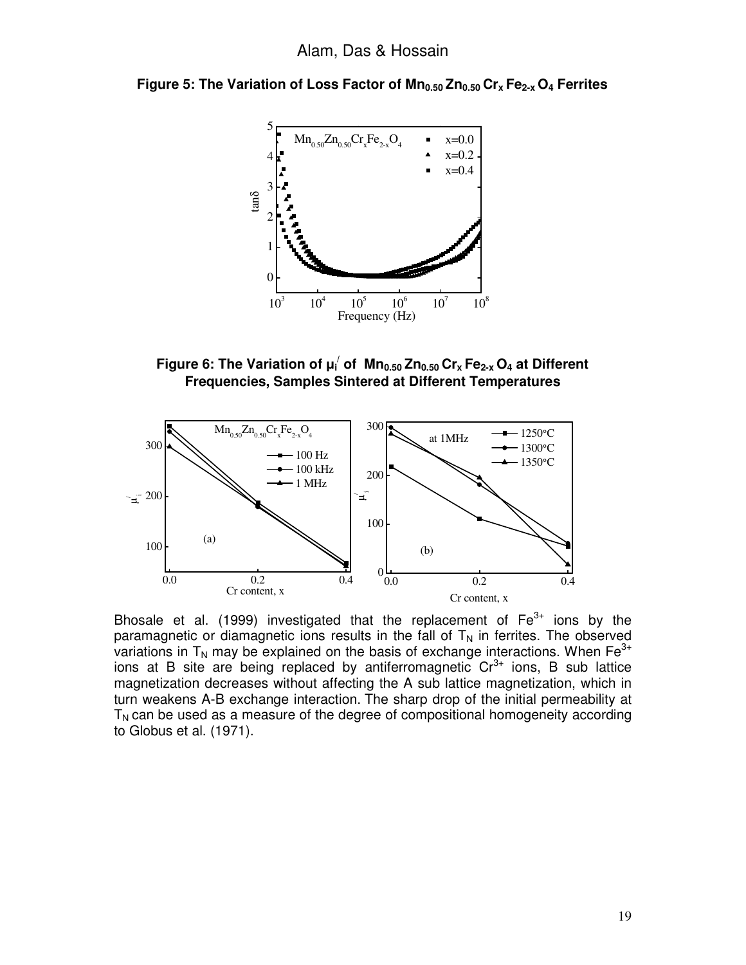



**Figure 6: The Variation of µ<sup>i</sup> / of Mn0.50 Zn0.50 Crx Fe2-x O4 at Different Frequencies, Samples Sintered at Different Temperatures** 



Bhosale et al. (1999) investigated that the replacement of  $Fe<sup>3+</sup>$  ions by the paramagnetic or diamagnetic ions results in the fall of  $T_N$  in ferrites. The observed variations in  $T_N$  may be explained on the basis of exchange interactions. When  $Fe^{3+}$ ions at B site are being replaced by antiferromagnetic  $Cr<sup>3+</sup>$  ions, B sub lattice magnetization decreases without affecting the A sub lattice magnetization, which in turn weakens A-B exchange interaction. The sharp drop of the initial permeability at  $T_N$  can be used as a measure of the degree of compositional homogeneity according to Globus et al. (1971).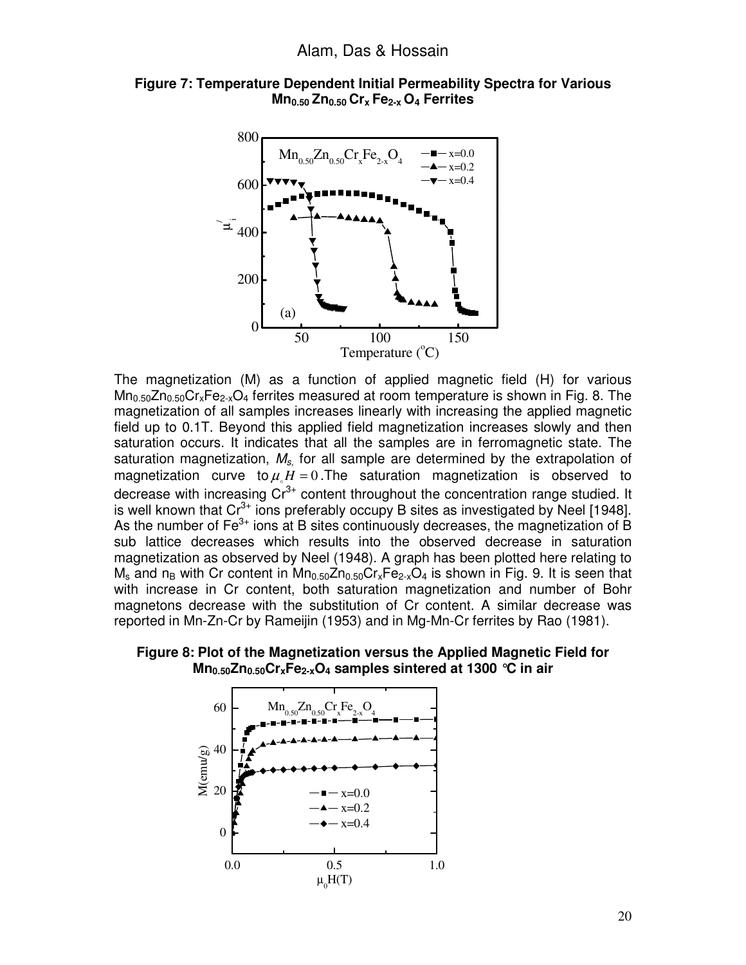



The magnetization (M) as a function of applied magnetic field (H) for various  $Mn_{0.50}Zn_{0.50}Cr_xFe_{2-x}O_4$  ferrites measured at room temperature is shown in Fig. 8. The magnetization of all samples increases linearly with increasing the applied magnetic field up to 0.1T. Beyond this applied field magnetization increases slowly and then saturation occurs. It indicates that all the samples are in ferromagnetic state. The saturation magnetization,  $M_{\rm s}$  for all sample are determined by the extrapolation of magnetization curve to  $\mu M = 0$ . The saturation magnetization is observed to decrease with increasing  $Cr^{3+}$  content throughout the concentration range studied. It is well known that  $Cr^{3+}$  ions preferably occupy B sites as investigated by Neel [1948]. As the number of  $Fe<sup>3+</sup>$  ions at B sites continuously decreases, the magnetization of B sub lattice decreases which results into the observed decrease in saturation magnetization as observed by Neel (1948). A graph has been plotted here relating to  $M_s$  and n<sub>B</sub> with Cr content in  $Mn_{0.50}Zn_{0.50}Cr_xFe_{2-x}O_4$  is shown in Fig. 9. It is seen that with increase in Cr content, both saturation magnetization and number of Bohr magnetons decrease with the substitution of Cr content. A similar decrease was reported in Mn-Zn-Cr by Rameijin (1953) and in Mg-Mn-Cr ferrites by Rao (1981).



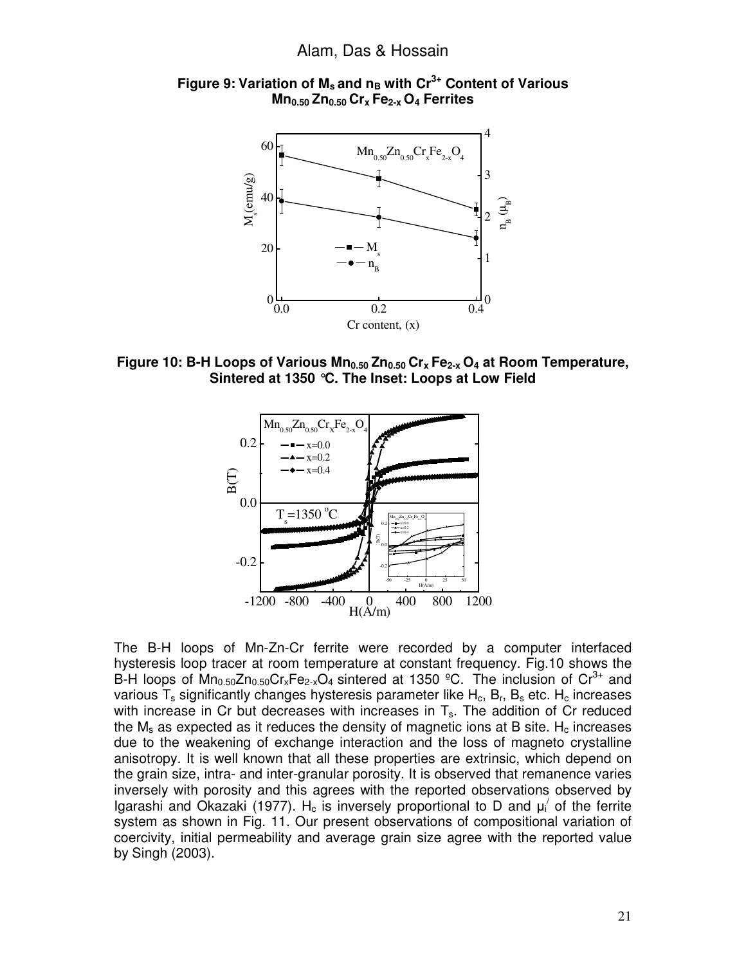

**Figure 9: Variation of Ms and nB with Cr3+ Content of Various Mn0.50 Zn0.50 Crx Fe2-x O4 Ferrites**

**Figure 10: B-H Loops of Various Mn0.50 Zn0.50 Crx Fe2-x O4 at Room Temperature, Sintered at 1350 °C. The Inset: Loops at Low Field** 



The B-H loops of Mn-Zn-Cr ferrite were recorded by a computer interfaced hysteresis loop tracer at room temperature at constant frequency. Fig.10 shows the B-H loops of  $Mn_{0.50}Zn_{0.50}Cr_xFe_{2-x}O_4$  sintered at 1350 °C. The inclusion of  $Cr^{3+}$  and various  $T_s$  significantly changes hysteresis parameter like  $H_c$ ,  $B_r$ ,  $B_s$  etc.  $H_c$  increases with increase in Cr but decreases with increases in  $T_s$ . The addition of Cr reduced the  $M_s$  as expected as it reduces the density of magnetic ions at B site.  $H_c$  increases due to the weakening of exchange interaction and the loss of magneto crystalline anisotropy. It is well known that all these properties are extrinsic, which depend on the grain size, intra- and inter-granular porosity. It is observed that remanence varies inversely with porosity and this agrees with the reported observations observed by Igarashi and Okazaki (1977). H<sub>c</sub> is inversely proportional to D and  $\mu_i'$  of the ferrite system as shown in Fig. 11. Our present observations of compositional variation of coercivity, initial permeability and average grain size agree with the reported value by Singh (2003).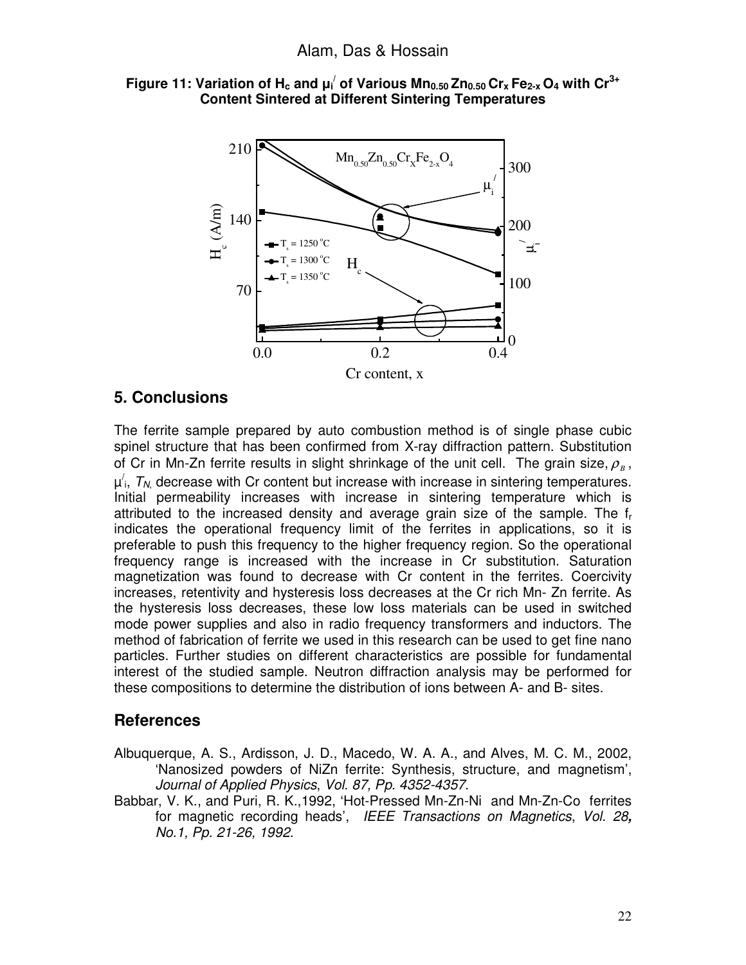



# **5. Conclusions**

The ferrite sample prepared by auto combustion method is of single phase cubic spinel structure that has been confirmed from X-ray diffraction pattern. Substitution of Cr in Mn-Zn ferrite results in slight shrinkage of the unit cell. The grain size,  $\rho_{\scriptscriptstyle B}^{}$ ,  $\mu'$ ,  $T_{N}$ , decrease with Cr content but increase with increase in sintering temperatures. Initial permeability increases with increase in sintering temperature which is attributed to the increased density and average grain size of the sample. The f<sup>r</sup> indicates the operational frequency limit of the ferrites in applications, so it is preferable to push this frequency to the higher frequency region. So the operational frequency range is increased with the increase in Cr substitution. Saturation magnetization was found to decrease with Cr content in the ferrites. Coercivity increases, retentivity and hysteresis loss decreases at the Cr rich Mn- Zn ferrite. As the hysteresis loss decreases, these low loss materials can be used in switched mode power supplies and also in radio frequency transformers and inductors. The method of fabrication of ferrite we used in this research can be used to get fine nano particles. Further studies on different characteristics are possible for fundamental interest of the studied sample. Neutron diffraction analysis may be performed for these compositions to determine the distribution of ions between A- and B- sites.

## **References**

- Albuquerque, A. S., Ardisson, J. D., Macedo, W. A. A., and Alves, M. C. M., 2002, 'Nanosized powders of NiZn ferrite: Synthesis, structure, and magnetism', Journal of Applied Physics, Vol. 87, Pp. 4352-4357.
- Babbar, V. K., and Puri, R. K.,1992, 'Hot-Pressed Mn-Zn-Ni and Mn-Zn-Co ferrites for magnetic recording heads', IEEE Transactions on Magnetics, Vol. 28**,** No.1, Pp. 21-26, 1992.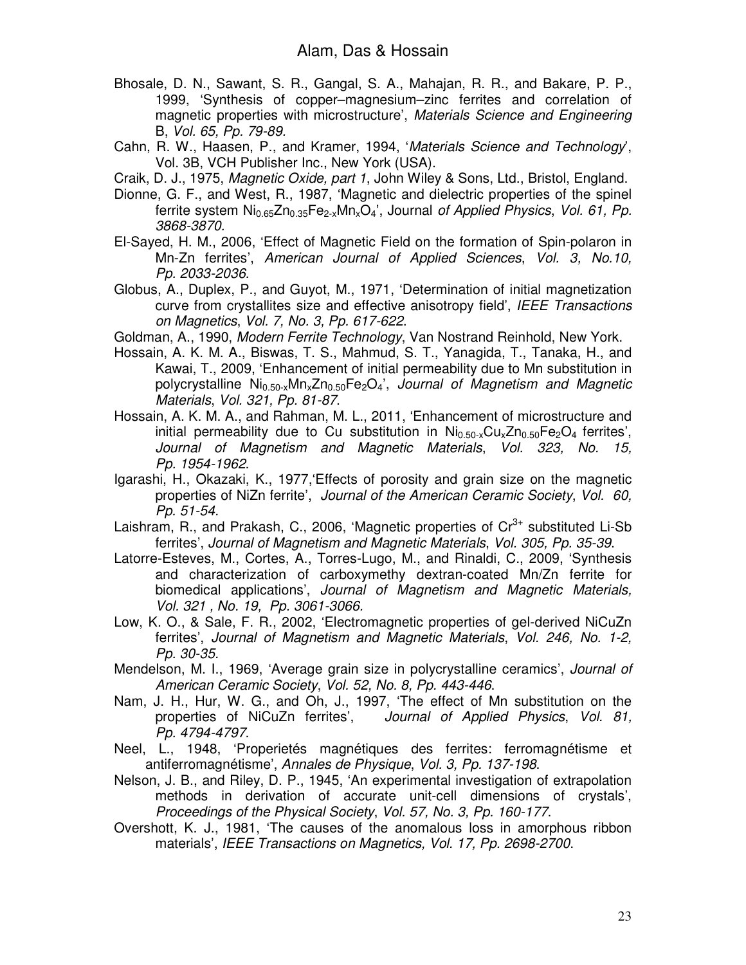- Bhosale, D. N., Sawant, S. R., Gangal, S. A., Mahajan, R. R., and Bakare, P. P., 1999, 'Synthesis of copper–magnesium–zinc ferrites and correlation of magnetic properties with microstructure', Materials Science and Engineering B, Vol. 65, Pp. 79-89.
- Cahn, R. W., Haasen, P., and Kramer, 1994, 'Materials Science and Technology', Vol. 3B, VCH Publisher Inc., New York (USA).
- Craik, D. J., 1975, Magnetic Oxide, part 1, John Wiley & Sons, Ltd., Bristol, England.
- Dionne, G. F., and West, R., 1987, 'Magnetic and dielectric properties of the spinel ferrite system  $Ni<sub>0.65</sub>Zn<sub>0.35</sub>Fe<sub>2-x</sub>Mn<sub>x</sub>O<sub>4</sub>'$ , Journal of Applied Physics, Vol. 61, Pp. 3868-3870.
- El-Sayed, H. M., 2006, 'Effect of Magnetic Field on the formation of Spin-polaron in Mn-Zn ferrites', American Journal of Applied Sciences, Vol. 3, No.10, Pp. 2033-2036.
- Globus, A., Duplex, P., and Guyot, M., 1971, 'Determination of initial magnetization curve from crystallites size and effective anisotropy field', IEEE Transactions on Magnetics, Vol. 7, No. 3, Pp. 617-622.
- Goldman, A., 1990, *Modern Ferrite Technology*, Van Nostrand Reinhold, New York.
- Hossain, A. K. M. A., Biswas, T. S., Mahmud, S. T., Yanagida, T., Tanaka, H., and Kawai, T., 2009, 'Enhancement of initial permeability due to Mn substitution in polycrystalline  $Ni<sub>0.50-x</sub>Mn<sub>x</sub>Zn<sub>0.50</sub>Fe<sub>2</sub>O<sub>4</sub>'$ , Journal of Magnetism and Magnetic Materials, Vol. 321, Pp. 81-87.
- Hossain, A. K. M. A., and Rahman, M. L., 2011, 'Enhancement of microstructure and initial permeability due to Cu substitution in  $Ni<sub>0.50-x</sub>Cu<sub>x</sub>Zn<sub>0.50</sub>Fe<sub>2</sub>O<sub>4</sub>$  ferrites', Journal of Magnetism and Magnetic Materials, Vol. 323, No. 15, Pp. 1954-1962.
- Igarashi, H., Okazaki, K., 1977,'Effects of porosity and grain size on the magnetic properties of NiZn ferrite', Journal of the American Ceramic Society, Vol. 60, Pp. 51-54.
- Laishram, R., and Prakash, C., 2006, 'Magnetic properties of  $Cr<sup>3+</sup>$  substituted Li-Sb ferrites', Journal of Magnetism and Magnetic Materials, Vol. 305, Pp. 35-39.
- Latorre-Esteves, M., Cortes, A., Torres-Lugo, M., and Rinaldi, C., 2009, 'Synthesis and characterization of carboxymethy dextran-coated Mn/Zn ferrite for biomedical applications', Journal of Magnetism and Magnetic Materials, Vol. 321 , No. 19, Pp. 3061-3066.
- Low, K. O., & Sale, F. R., 2002, 'Electromagnetic properties of gel-derived NiCuZn ferrites', Journal of Magnetism and Magnetic Materials, Vol. 246, No. 1-2, Pp. 30-35.
- Mendelson, M. I., 1969, 'Average grain size in polycrystalline ceramics', Journal of American Ceramic Society, Vol. 52, No. 8, Pp. 443-446.
- Nam, J. H., Hur, W. G., and Oh, J., 1997, 'The effect of Mn substitution on the properties of NiCuZn ferrites', Journal of Applied Physics, Vol. 81, Pp. 4794-4797.
- Neel, L., 1948, 'Properietés magnétiques des ferrites: ferromagnétisme et antiferromagnétisme', Annales de Physique, Vol. 3, Pp. 137-198.
- Nelson, J. B., and Riley, D. P., 1945, 'An experimental investigation of extrapolation methods in derivation of accurate unit-cell dimensions of crystals', Proceedings of the Physical Society, Vol. 57, No. 3, Pp. 160-177.
- Overshott, K. J., 1981, 'The causes of the anomalous loss in amorphous ribbon materials', IEEE Transactions on Magnetics, Vol. 17, Pp. 2698-2700.